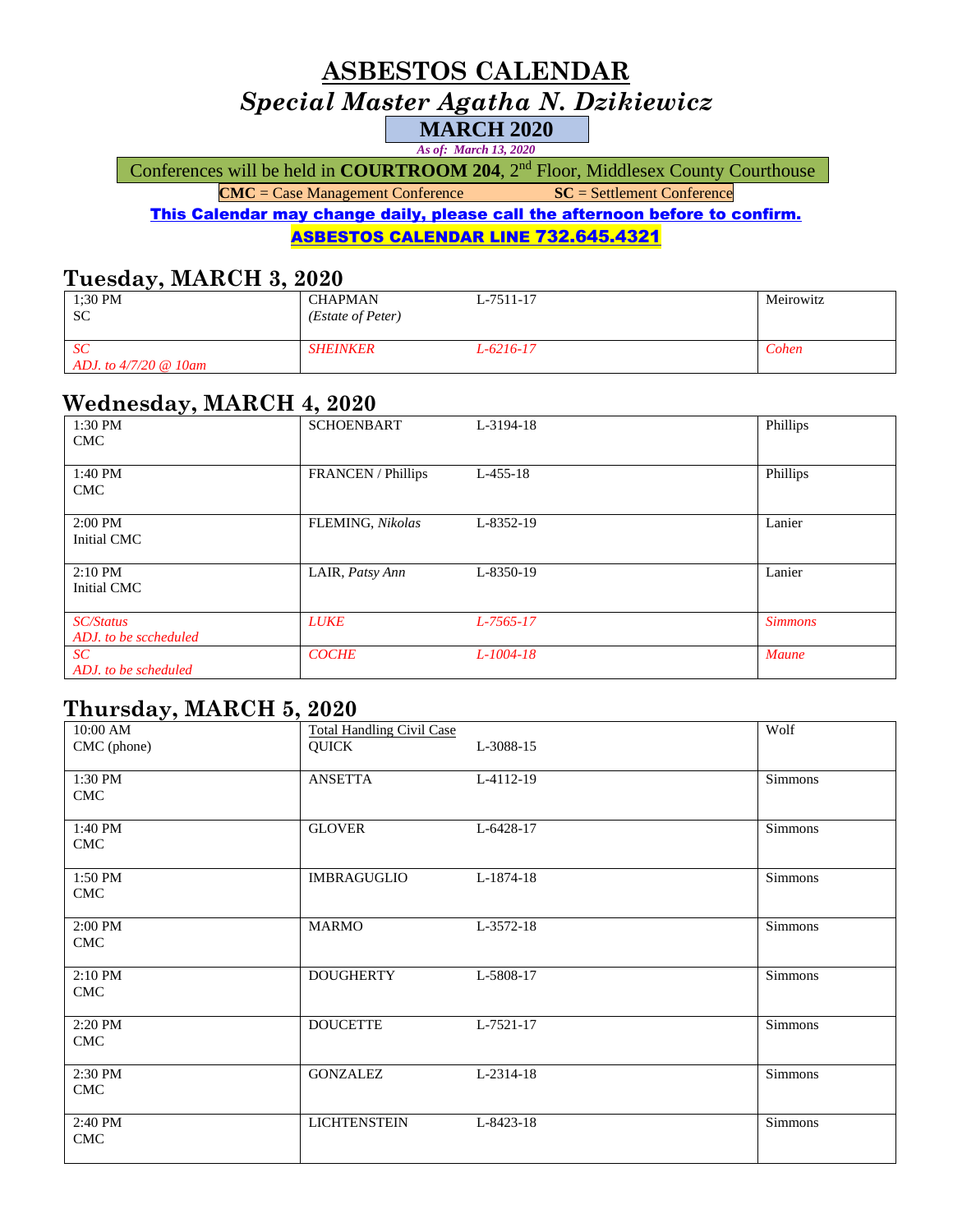## **ASBESTOS CALENDAR** *Special Master Agatha N. Dzikiewicz* **MARCH 2020**

*As of: March 13, 2020*

Conferences will be held in **COURTROOM 204**, 2<sup>nd</sup> Floor, Middlesex County Courthouse

**CMC** = Case Management Conference **SC** = Settlement Conference

This Calendar may change daily, please call the afternoon before to confirm. ASBESTOS CALENDAR LINE 732.645.4321

#### **Tuesday, MARCH 3, 2020**

| 1:30 PM<br><b>SC</b>                     | <b>CHAPMAN</b><br>(Estate of Peter) | L-7511-17 | Meirowitz |
|------------------------------------------|-------------------------------------|-----------|-----------|
| <sub>SC</sub><br>ADJ, to $4/7/20$ @ 10am | <b>SHEINKER</b>                     | L-6216-17 | Cohen     |

## **Wednesday, MARCH 4, 2020**

| - - - - - - <i>v</i> - <del>-</del><br>1:30 PM<br><b>CMC</b> | <b>SCHOENBART</b>         | L-3194-18    | Phillips       |
|--------------------------------------------------------------|---------------------------|--------------|----------------|
| 1:40 PM<br><b>CMC</b>                                        | <b>FRANCEN</b> / Phillips | $L-455-18$   | Phillips       |
| $2:00$ PM<br>Initial CMC                                     | FLEMING, Nikolas          | L-8352-19    | Lanier         |
| $2:10$ PM<br>Initial CMC                                     | LAIR, Patsy Ann           | L-8350-19    | Lanier         |
| <b>SC/Status</b><br>ADJ, to be sccheduled                    | <b>LUKE</b>               | $L-7565-17$  | <b>Simmons</b> |
| SC<br>ADJ, to be scheduled                                   | <b>COCHE</b>              | $L$ -1004-18 | <b>Maune</b>   |

## **Thursday, MARCH 5, 2020**

| ັ∕<br>10:00 AM<br>CMC (phone) | <b>Total Handling Civil Case</b><br><b>QUICK</b> | L-3088-15 | Wolf    |
|-------------------------------|--------------------------------------------------|-----------|---------|
| 1:30 PM<br><b>CMC</b>         | <b>ANSETTA</b>                                   | L-4112-19 | Simmons |
| 1:40 PM<br><b>CMC</b>         | <b>GLOVER</b>                                    | L-6428-17 | Simmons |
| 1:50 PM<br>CMC                | <b>IMBRAGUGLIO</b>                               | L-1874-18 | Simmons |
| 2:00 PM<br><b>CMC</b>         | <b>MARMO</b>                                     | L-3572-18 | Simmons |
| 2:10 PM<br>CMC                | <b>DOUGHERTY</b>                                 | L-5808-17 | Simmons |
| 2:20 PM<br><b>CMC</b>         | <b>DOUCETTE</b>                                  | L-7521-17 | Simmons |
| 2:30 PM<br><b>CMC</b>         | <b>GONZALEZ</b>                                  | L-2314-18 | Simmons |
| 2:40 PM<br><b>CMC</b>         | <b>LICHTENSTEIN</b>                              | L-8423-18 | Simmons |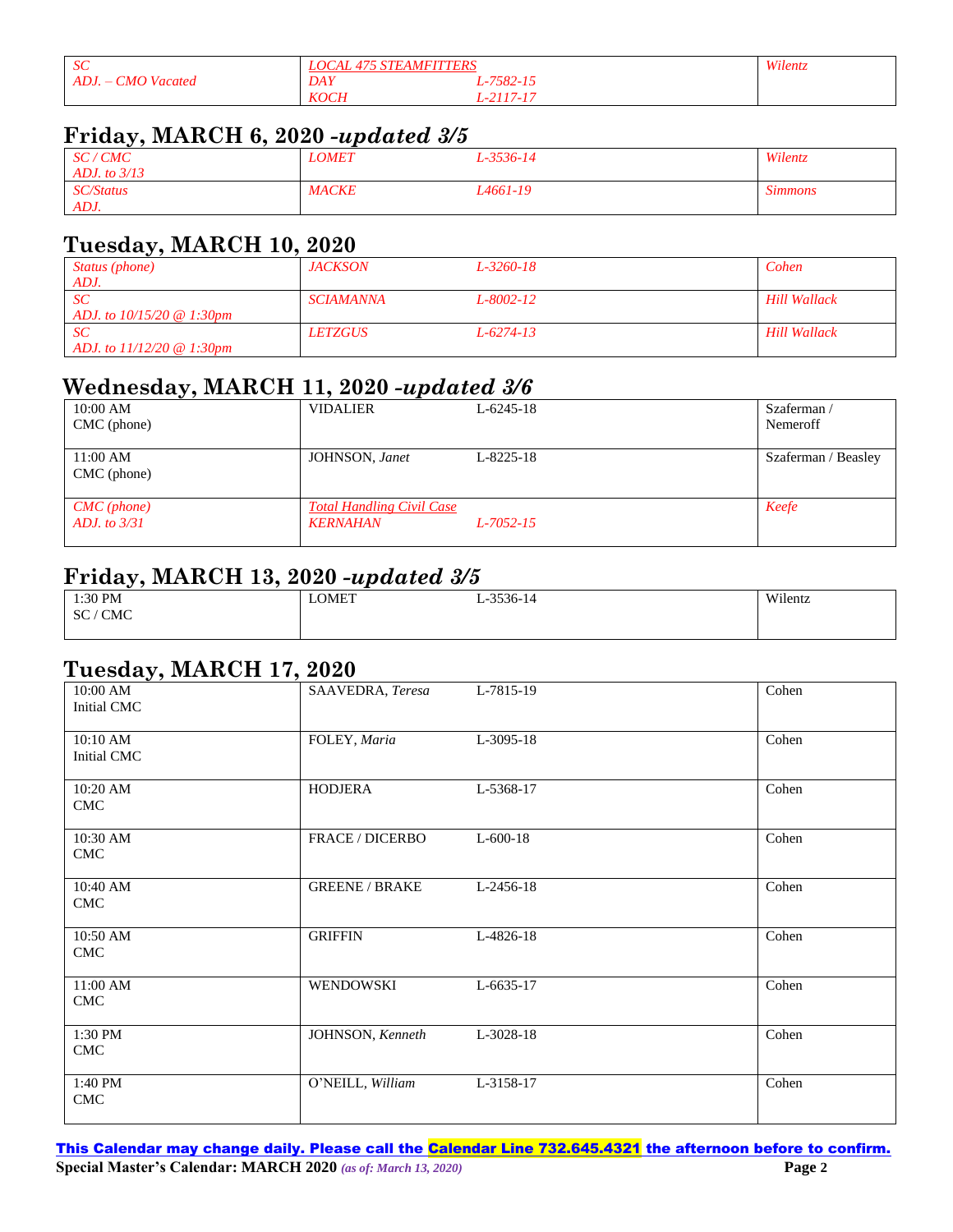| SC                             | <b>STEAMFITTERS</b><br>LOCAL |         | Wilentz. |
|--------------------------------|------------------------------|---------|----------|
| <b>CMO</b> Vacated<br>$ADJ. -$ | <b>DAY</b>                   | 7582-15 |          |
|                                | <b>KOCH</b>                  | 117-17  |          |

## **Friday, MARCH 6, 2020** *-updated 3/5*

| SC/CMC<br>ADJ, to $3/13$ | <i><b>LOMET</b></i> | L-3536-14 | Wilentz        |
|--------------------------|---------------------|-----------|----------------|
| <i>SC/Status</i><br>ADJ. | <b>MACKE</b>        | L4661-19  | <b>Simmons</b> |

# **Tuesday, MARCH 10, 2020**

| Status (phone)                                     | <i>JACKSON</i>        | L-3260-18       | Cohen               |
|----------------------------------------------------|-----------------------|-----------------|---------------------|
| ADJ.                                               |                       |                 |                     |
| SC                                                 | SCIAMANNA             | L-8002-12       | <b>Hill Wallack</b> |
| ADJ, to $10/15/20 \text{ } \textcircled{a}$ 1:30pm |                       |                 |                     |
| SC                                                 | <i><b>LETZGUS</b></i> | $L - 6274 - 13$ | <b>Hill Wallack</b> |
| ADJ. to $11/12/20 \otimes 1:30$ pm                 |                       |                 |                     |

## **Wednesday, MARCH 11, 2020** *-updated 3/6*

| $10:00$ AM         | <b>VIDALIER</b>                  | $L - 6245 - 18$ | Szaferman/          |
|--------------------|----------------------------------|-----------------|---------------------|
| $CMC$ (phone)      |                                  |                 | Nemeroff            |
|                    |                                  |                 |                     |
| $11:00 \text{ AM}$ | JOHNSON, Janet                   | $L - 8225 - 18$ | Szaferman / Beasley |
| $CMC$ (phone)      |                                  |                 |                     |
|                    |                                  |                 |                     |
| $CMC$ (phone)      | <b>Total Handling Civil Case</b> |                 | Keefe               |
| ADJ, to $3/31$     | KERNAHAN                         | $L$ -7052-15    |                     |
|                    |                                  |                 |                     |

## **Friday, MARCH 13, 2020** *-updated 3/5*

| 1:30 PM                 | LOMET | 252214<br>$3550 - 14$<br>. –<br>- | Wilentz |
|-------------------------|-------|-----------------------------------|---------|
| <b>CMC</b><br><b>SC</b> |       |                                   |         |
|                         |       |                                   |         |

#### **Tuesday, MARCH 17, 2020**

| 10:00 AM<br>Initial CMC                 | SAAVEDRA, Teresa       | L-7815-19  | Cohen |
|-----------------------------------------|------------------------|------------|-------|
| 10:10 AM<br>Initial CMC                 | FOLEY, Maria           | L-3095-18  | Cohen |
| $10:20$ AM<br><b>CMC</b>                | <b>HODJERA</b>         | L-5368-17  | Cohen |
| 10:30 AM<br>$\ensuremath{\mathrm{CMC}}$ | <b>FRACE / DICERBO</b> | $L-600-18$ | Cohen |
| 10:40 AM<br>$\ensuremath{\mathrm{CMC}}$ | <b>GREENE / BRAKE</b>  | L-2456-18  | Cohen |
| 10:50 AM<br><b>CMC</b>                  | <b>GRIFFIN</b>         | L-4826-18  | Cohen |
| 11:00 AM<br><b>CMC</b>                  | WENDOWSKI              | L-6635-17  | Cohen |
| 1:30 PM<br><b>CMC</b>                   | JOHNSON, Kenneth       | L-3028-18  | Cohen |
| 1:40 PM<br><b>CMC</b>                   | O'NEILL, William       | L-3158-17  | Cohen |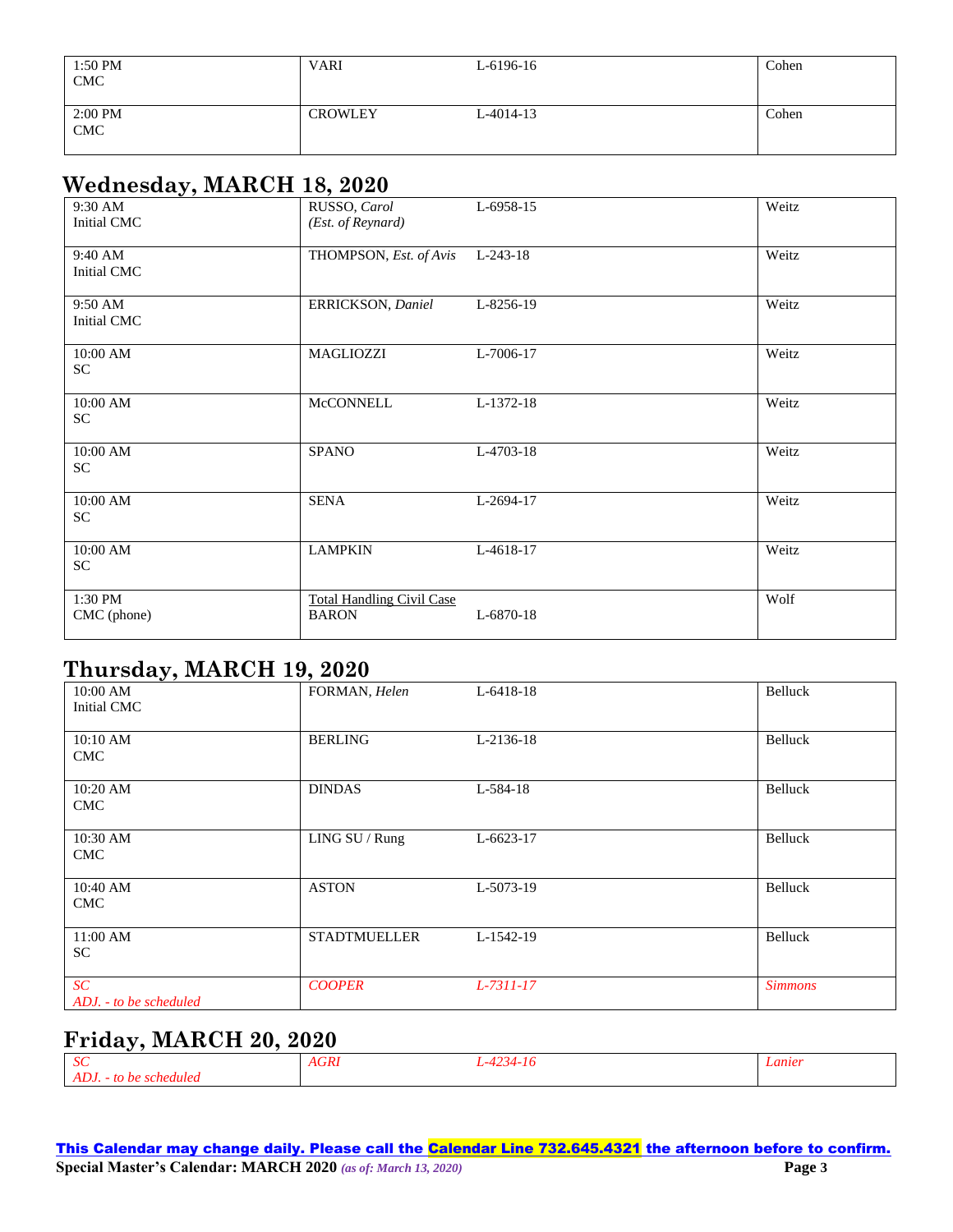| 1:50 PM<br>CMC                         | <b>VARI</b>    | L-6196-16       | Cohen |
|----------------------------------------|----------------|-----------------|-------|
| 2:00 PM<br>$\ensuremath{\mathrm{CMC}}$ | <b>CROWLEY</b> | $L - 4014 - 13$ | Cohen |

## **Wednesday, MARCH 18, 2020**

| . <i>.</i><br>9:30 AM<br>Initial CMC          | RUSSO, Carol<br>(Est. of Reynard)                | L-6958-15  | Weitz |
|-----------------------------------------------|--------------------------------------------------|------------|-------|
| 9:40 AM<br>Initial CMC                        | THOMPSON, Est. of Avis                           | $L-243-18$ | Weitz |
| 9:50 AM<br>Initial CMC                        | ERRICKSON, Daniel                                | L-8256-19  | Weitz |
| 10:00 AM<br>SC                                | MAGLIOZZI                                        | L-7006-17  | Weitz |
| 10:00 AM<br>SC                                | McCONNELL                                        | L-1372-18  | Weitz |
| 10:00 AM<br>SC                                | <b>SPANO</b>                                     | L-4703-18  | Weitz |
| 10:00 AM<br>$\ensuremath{\mathbf{SC}}\xspace$ | <b>SENA</b>                                      | L-2694-17  | Weitz |
| $10:00$ AM<br>SC                              | <b>LAMPKIN</b>                                   | L-4618-17  | Weitz |
| 1:30 PM<br>CMC (phone)                        | <b>Total Handling Civil Case</b><br><b>BARON</b> | L-6870-18  | Wolf  |

## **Thursday, MARCH 19, 2020**

| . .<br>$10:00$ AM<br>Initial CMC | FORMAN, Helen       | L-6418-18   | Belluck        |
|----------------------------------|---------------------|-------------|----------------|
| 10:10 AM<br><b>CMC</b>           | <b>BERLING</b>      | L-2136-18   | Belluck        |
| $10:20$ AM<br><b>CMC</b>         | <b>DINDAS</b>       | L-584-18    | Belluck        |
| 10:30 AM<br><b>CMC</b>           | LING SU / Rung      | $L-6623-17$ | Belluck        |
| 10:40 AM<br><b>CMC</b>           | <b>ASTON</b>        | L-5073-19   | Belluck        |
| $11:00$ AM<br><b>SC</b>          | <b>STADTMUELLER</b> | L-1542-19   | Belluck        |
| SC<br>ADJ. - to be scheduled     | <b>COOPER</b>       | L-7311-17   | <b>Simmons</b> |

# **Friday, MARCH 20, 2020**

| $\sim$                                      | $4$ GR $\mu$ | -11 | Lanter |
|---------------------------------------------|--------------|-----|--------|
| ്ധ                                          | -----        |     |        |
| <b>ADJ</b><br>rhedulea <i>r</i><br>tΟ<br>ne |              |     |        |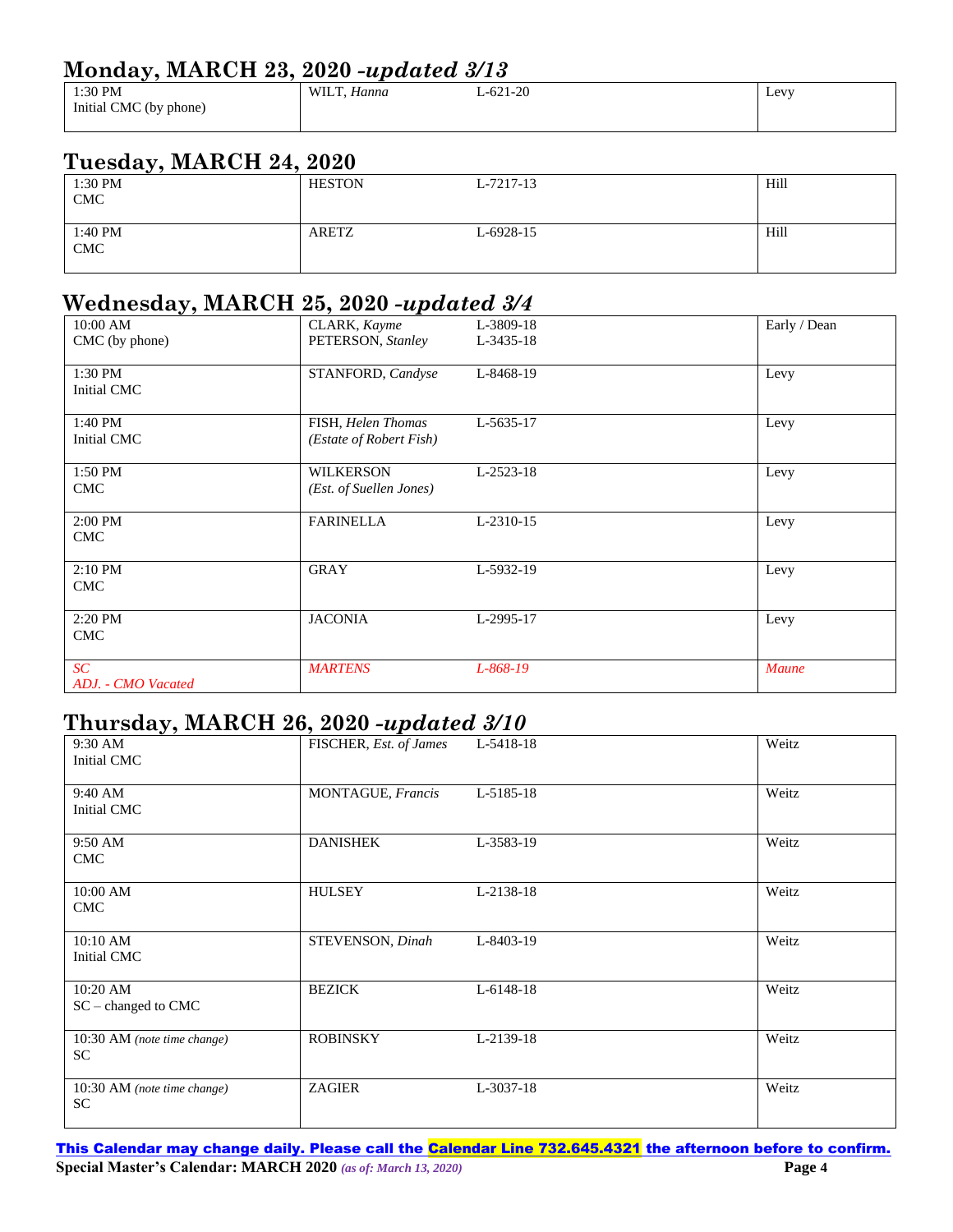## **Monday, MARCH 23, 2020** *-updated 3/13*

| .<br>---               |                     |           |                |  |
|------------------------|---------------------|-----------|----------------|--|
| 1:30 PM                | <b>WII</b><br>1anna | $-621-20$ | $_{\rm{Levv}}$ |  |
| Initial CMC (by phone) |                     |           |                |  |
|                        |                     |           |                |  |

## **Tuesday, MARCH 24, 2020**

| 1:30 PM<br><b>CMC</b> | <b>HESTON</b> | L-7217-13 | Hill |
|-----------------------|---------------|-----------|------|
| 1:40 PM<br>CMC        | <b>ARETZ</b>  | L-6928-15 | Hill |

## **Wednesday, MARCH 25, 2020** *-updated 3/4*

| 10:00 AM<br>CMC (by phone) | CLARK, Kayme<br>PETERSON, Stanley             | L-3809-18<br>L-3435-18 | Early / Dean |
|----------------------------|-----------------------------------------------|------------------------|--------------|
| 1:30 PM<br>Initial CMC     | STANFORD, Candyse                             | L-8468-19              | Levy         |
| 1:40 PM<br>Initial CMC     | FISH, Helen Thomas<br>(Estate of Robert Fish) | L-5635-17              | Levy         |
| 1:50 PM<br><b>CMC</b>      | <b>WILKERSON</b><br>(Est. of Suellen Jones)   | L-2523-18              | Levy         |
| $2:00$ PM<br><b>CMC</b>    | <b>FARINELLA</b>                              | L-2310-15              | Levy         |
| $2:10$ PM<br><b>CMC</b>    | <b>GRAY</b>                                   | L-5932-19              | Levy         |
| 2:20 PM<br><b>CMC</b>      | <b>JACONIA</b>                                | L-2995-17              | Levy         |
| SC<br>ADJ. - CMO Vacated   | <b>MARTENS</b>                                | L-868-19               | <b>Maune</b> |

### **Thursday, MARCH 26, 2020** *-updated 3/10*

| . .<br>9:30 AM<br>Initial CMC            | FISCHER, Est. of James | L-5418-18 | Weitz |
|------------------------------------------|------------------------|-----------|-------|
| 9:40 AM<br>Initial CMC                   | MONTAGUE, Francis      | L-5185-18 | Weitz |
| 9:50 AM<br><b>CMC</b>                    | <b>DANISHEK</b>        | L-3583-19 | Weitz |
| 10:00 AM<br><b>CMC</b>                   | <b>HULSEY</b>          | L-2138-18 | Weitz |
| 10:10 AM<br>Initial CMC                  | STEVENSON, Dinah       | L-8403-19 | Weitz |
| $10:20$ AM<br>SC - changed to CMC        | <b>BEZICK</b>          | L-6148-18 | Weitz |
| 10:30 AM (note time change)<br>SC        | <b>ROBINSKY</b>        | L-2139-18 | Weitz |
| 10:30 AM (note time change)<br><b>SC</b> | <b>ZAGIER</b>          | L-3037-18 | Weitz |

This Calendar may change daily. Please call the Calendar Line 732.645.4321 the afternoon before to confirm. **Special Master's Calendar: MARCH 2020** *(as of: March 13, 2020)* **Page 4**